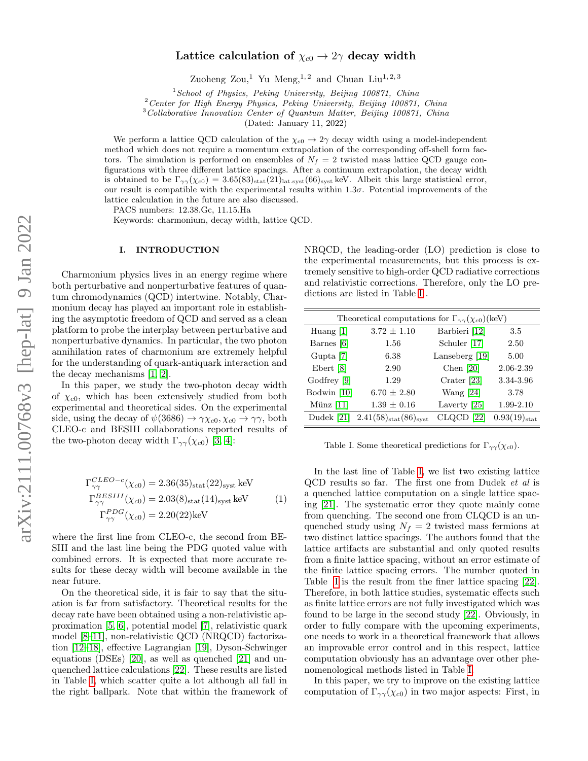# Lattice calculation of  $\chi_{c0} \to 2\gamma$  decay width

Zuoheng Zou,<sup>1</sup> Yu Meng,<sup>1,2</sup> and Chuan Liu<sup>1,2,3</sup>

 $1$ School of Physics, Peking University, Beijing 100871, China

<sup>2</sup> Center for High Energy Physics, Peking University, Beijing 100871, China

<sup>3</sup>Collaborative Innovation Center of Quantum Matter, Beijing 100871, China

(Dated: January 11, 2022)

We perform a lattice QCD calculation of the  $\chi_{c0} \to 2\gamma$  decay width using a model-independent method which does not require a momentum extrapolation of the corresponding off-shell form factors. The simulation is performed on ensembles of  $N_f = 2$  twisted mass lattice QCD gauge configurations with three different lattice spacings. After a continuum extrapolation, the decay width is obtained to be  $\Gamma_{\gamma\gamma}(\chi_{c0}) = 3.65(83)_{\text{stat}}(21)_{\text{lat.syst}}(66)_{\text{syst}}$  keV. Albeit this large statistical error, our result is compatible with the experimental results within 1.3σ. Potential improvements of the lattice calculation in the future are also discussed.

PACS numbers: 12.38.Gc, 11.15.Ha

Keywords: charmonium, decay width, lattice QCD.

## I. INTRODUCTION

Charmonium physics lives in an energy regime where both perturbative and nonperturbative features of quantum chromodynamics (QCD) intertwine. Notably, Charmonium decay has played an important role in establishing the asymptotic freedom of QCD and served as a clean platform to probe the interplay between perturbative and nonperturbative dynamics. In particular, the two photon annihilation rates of charmonium are extremely helpful for the understanding of quark-antiquark interaction and the decay mechanisms [\[1,](#page-7-0) [2\]](#page-7-1).

In this paper, we study the two-photon decay width of  $\chi_{c0}$ , which has been extensively studied from both experimental and theoretical sides. On the experimental side, using the decay of  $\psi(3686) \rightarrow \gamma \chi_{c0}, \chi_{c0} \rightarrow \gamma \gamma$ , both CLEO-c and BESIII collaborations reported results of the two-photon decay width  $\Gamma_{\gamma\gamma}(\chi_{c0})$  [\[3,](#page-7-2) [4\]](#page-7-3):

<span id="page-0-0"></span>
$$
\Gamma_{\gamma\gamma}^{CLEO-c}(\chi_{c0}) = 2.36(35)_{\text{stat}}(22)_{\text{syst}} \text{ keV}
$$
  
\n
$$
\Gamma_{\gamma\gamma}^{BESIII}(\chi_{c0}) = 2.03(8)_{\text{stat}}(14)_{\text{syst}} \text{ keV}
$$
  
\n
$$
\Gamma_{\gamma\gamma}^{PDG}(\chi_{c0}) = 2.20(22) \text{ keV}
$$
 (1)

where the first line from CLEO-c, the second from BE-SIII and the last line being the PDG quoted value with combined errors. It is expected that more accurate results for these decay width will become available in the near future.

On the theoretical side, it is fair to say that the situation is far from satisfactory. Theoretical results for the decay rate have been obtained using a non-relativistic approximation [\[5,](#page-7-4) [6\]](#page-7-5), potential model [\[7\]](#page-7-6), relativistic quark model [\[8–](#page-7-7)[11\]](#page-7-8), non-relativistic QCD (NRQCD) factorization [\[12](#page-7-9)[–18\]](#page-8-0), effective Lagrangian [\[19\]](#page-8-1), Dyson-Schwinger equations (DSEs) [\[20\]](#page-8-2), as well as quenched [\[21\]](#page-8-3) and unquenched lattice calculations [\[22\]](#page-8-4). These results are listed in Table [I,](#page-0-0) which scatter quite a lot although all fall in the right ballpark. Note that within the framework of

NRQCD, the leading-order (LO) prediction is close to the experimental measurements, but this process is extremely sensitive to high-order QCD radiative corrections and relativistic corrections. Therefore, only the LO predictions are listed in Table [I](#page-0-0) .

| Theoretical computations for $\Gamma_{\gamma\gamma}(\chi_{c0})$ (keV) |                                |                |                       |  |  |  |
|-----------------------------------------------------------------------|--------------------------------|----------------|-----------------------|--|--|--|
| Huang $[1]$                                                           | $3.72 \pm 1.10$                | Barbieri [12]  | 3.5                   |  |  |  |
| Barnes [6]                                                            | 1.56                           | Schuler [17]   | 2.50                  |  |  |  |
| Gupta [7]                                                             | 6.38                           | Lanseberg [19] | 5.00                  |  |  |  |
| Ebert [8]                                                             | 2.90                           | Chen $[20]$    | 2.06-2.39             |  |  |  |
| Godfrey [9]                                                           | 1.29                           | Crater [23]    | 3.34-3.96             |  |  |  |
| Bodwin $[10]$                                                         | $6.70 \pm 2.80$                | Wang $[24]$    | 3.78                  |  |  |  |
| Münz $[11]$                                                           | $1.39 \pm 0.16$                | Laverty [25]   | 1.99-2.10             |  |  |  |
| Dudek [21]                                                            | $(2.41(58)_{stat}(86)_{syst})$ | CLQCD [22]     | $0.93(19)_{\rm stat}$ |  |  |  |
|                                                                       |                                |                |                       |  |  |  |

Table I. Some theoretical predictions for  $\Gamma_{\gamma\gamma}(\chi_{c0})$ .

In the last line of Table [I,](#page-0-0) we list two existing lattice QCD results so far. The first one from Dudek et al is a quenched lattice computation on a single lattice spacing [\[21\]](#page-8-3). The systematic error they quote mainly come from quenching. The second one from CLQCD is an unquenched study using  $N_f = 2$  twisted mass fermions at two distinct lattice spacings. The authors found that the lattice artifacts are substantial and only quoted results from a finite lattice spacing, without an error estimate of the finite lattice spacing errors. The number quoted in Table [I](#page-0-0) is the result from the finer lattice spacing [\[22\]](#page-8-4). Therefore, in both lattice studies, systematic effects such as finite lattice errors are not fully investigated which was found to be large in the second study [\[22\]](#page-8-4). Obviously, in order to fully compare with the upcoming experiments, one needs to work in a theoretical framework that allows an improvable error control and in this respect, lattice computation obviously has an advantage over other phenomenological methods listed in Table [I.](#page-0-0)

In this paper, we try to improve on the existing lattice computation of  $\Gamma_{\gamma\gamma}(\chi_{c0})$  in two major aspects: First, in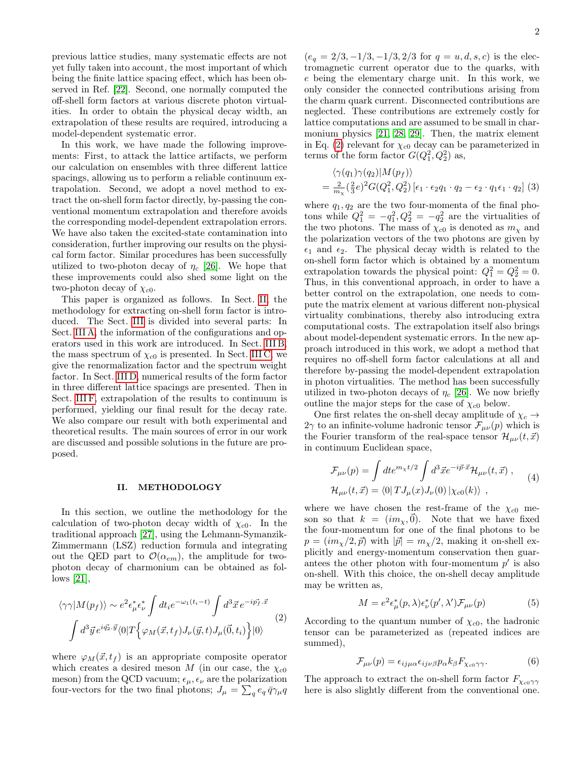previous lattice studies, many systematic effects are not yet fully taken into account, the most important of which being the finite lattice spacing effect, which has been observed in Ref. [\[22\]](#page-8-4). Second, one normally computed the off-shell form factors at various discrete photon virtualities. In order to obtain the physical decay width, an extrapolation of these results are required, introducing a model-dependent systematic error.

In this work, we have made the following improvements: First, to attack the lattice artifacts, we perform our calculation on ensembles with three different lattice spacings, allowing us to perform a reliable continuum extrapolation. Second, we adopt a novel method to extract the on-shell form factor directly, by-passing the conventional momentum extrapolation and therefore avoids the corresponding model-dependent extrapolation errors. We have also taken the excited-state contamination into consideration, further improving our results on the physical form factor. Similar procedures has been successfully utilized to two-photon decay of  $\eta_c$  [\[26\]](#page-8-9). We hope that these improvements could also shed some light on the two-photon decay of  $\chi_{c0}$ .

This paper is organized as follows. In Sect. [II,](#page-1-0) the methodology for extracting on-shell form factor is introduced. The Sect. [III](#page-2-0) is divided into several parts: In Sect. [III A,](#page-2-1) the information of the configurations and operators used in this work are introduced. In Sect. [III B,](#page-2-2) the mass spectrum of  $\chi_{c0}$  is presented. In Sect. [III C,](#page-3-0) we give the renormalization factor and the spectrum weight factor. In Sect. [III D,](#page-5-0) numerical results of the form factor in three different lattice spacings are presented. Then in Sect. [III F,](#page-6-0) extrapolation of the results to continuum is performed, yielding our final result for the decay rate. We also compare our result with both experimental and theoretical results. The main sources of error in our work are discussed and possible solutions in the future are proposed.

## <span id="page-1-0"></span>II. METHODOLOGY

In this section, we outline the methodology for the calculation of two-photon decay width of  $\chi_{c0}$ . In the traditional approach [\[27\]](#page-8-10), using the Lehmann-Symanzik-Zimmermann (LSZ) reduction formula and integrating out the QED part to  $\mathcal{O}(\alpha_{em})$ , the amplitude for twophoton decay of charmonium can be obtained as follows [\[21\]](#page-8-3),

<span id="page-1-1"></span>
$$
\langle \gamma \gamma | M(p_f) \rangle \sim e^2 \epsilon_{\mu}^* \epsilon_{\nu}^* \int dt_i e^{-\omega_1(t_i - t)} \int d^3 \vec{x} \, e^{-i \vec{p_f} \cdot \vec{x}} \tag{2}
$$
\n
$$
\int d^3 \vec{y} \, e^{i \vec{q_2} \cdot \vec{y}} \langle 0 | T \Big\{ \varphi_M(\vec{x}, t_f) J_{\nu}(\vec{y}, t) J_{\mu}(\vec{0}, t_i) \Big\} | 0 \rangle
$$

where  $\varphi_M(\vec{x}, t_f)$  is an appropriate composite operator which creates a desired meson M (in our case, the  $\chi_{c0}$ meson) from the QCD vacuum;  $\epsilon_{\mu}, \epsilon_{\nu}$  are the polarization four-vectors for the two final photons;  $J_{\mu} = \sum_{q} e_q \bar{q} \gamma_{\mu} q$ 

 $(e_q = 2/3, -1/3, -1/3, 2/3$  for  $q = u, d, s, c$  is the electromagnetic current operator due to the quarks, with e being the elementary charge unit. In this work, we only consider the connected contributions arising from the charm quark current. Disconnected contributions are neglected. These contributions are extremely costly for lattice computations and are assumed to be small in charmonium physics [\[21,](#page-8-3) [28,](#page-8-11) [29\]](#page-8-12). Then, the matrix element in Eq. [\(2\)](#page-1-1) relevant for  $\chi_{c0}$  decay can be parameterized in terms of the form factor  $G(Q_1^2, Q_2^2)$  as,

$$
\langle \gamma(q_1)\gamma(q_2)|M(p_f) \rangle
$$
  
=  $\frac{2}{m_\chi} \left(\frac{2}{3}e\right)^2 G(Q_1^2, Q_2^2) \left[\epsilon_1 \cdot \epsilon_2 q_1 \cdot q_2 - \epsilon_2 \cdot q_1 \epsilon_1 \cdot q_2\right]$  (3)

where  $q_1, q_2$  are the two four-momenta of the final photons while  $Q_1^2 = -q_1^2$ ,  $Q_2^2 = -q_2^2$  are the virtualities of the two photons. The mass of  $\chi_{c0}$  is denoted as  $m_{\chi}$  and the polarization vectors of the two photons are given by  $\epsilon_1$  and  $\epsilon_2$ . The physical decay width is related to the on-shell form factor which is obtained by a momentum extrapolation towards the physical point:  $Q_1^2 = Q_2^2 = 0$ . Thus, in this conventional approach, in order to have a better control on the extrapolation, one needs to compute the matrix element at various different non-physical virtuality combinations, thereby also introducing extra computational costs. The extrapolation itself also brings about model-dependent systematic errors. In the new approach introduced in this work, we adopt a method that requires no off-shell form factor calculations at all and therefore by-passing the model-dependent extrapolation in photon virtualities. The method has been successfully utilized in two-photon decays of  $\eta_c$  [\[26\]](#page-8-9). We now briefly outline the major steps for the case of  $\chi_{c0}$  below.

One first relates the on-shell decay amplitude of  $\chi_c \rightarrow$  $2\gamma$  to an infinite-volume hadronic tensor  $\mathcal{F}_{\mu\nu}(p)$  which is the Fourier transform of the real-space tensor  $\mathcal{H}_{\mu\nu}(t, \vec{x})$ in continuum Euclidean space,

$$
\mathcal{F}_{\mu\nu}(p) = \int dt e^{m_{\chi}t/2} \int d^3 \vec{x} e^{-i\vec{p}\cdot\vec{x}} \mathcal{H}_{\mu\nu}(t, \vec{x}) ,
$$
  

$$
\mathcal{H}_{\mu\nu}(t, \vec{x}) = \langle 0| T J_{\mu}(x) J_{\nu}(0) | \chi_{c0}(k) \rangle ,
$$
 (4)

where we have chosen the rest-frame of the  $\chi_{c0}$  meson so that  $k = (im_{\chi},0)$ . Note that we have fixed the four-momentum for one of the final photons to be  $p = (im_\chi/2, \vec{p})$  with  $|\vec{p}| = m_\chi/2$ , making it on-shell explicitly and energy-momentum conservation then guarantees the other photon with four-momentum  $p'$  is also on-shell. With this choice, the on-shell decay amplitude may be written as,

$$
M = e^{2} \epsilon_{\mu}^{*}(p, \lambda) \epsilon_{\nu}^{*}(p', \lambda') \mathcal{F}_{\mu\nu}(p)
$$
 (5)

According to the quantum number of  $\chi_{c0}$ , the hadronic tensor can be parameterized as (repeated indices are summed),

$$
\mathcal{F}_{\mu\nu}(p) = \epsilon_{ij\mu\alpha}\epsilon_{ij\nu\beta}p_{\alpha}k_{\beta}F_{\chi_{c0}\gamma\gamma}.\tag{6}
$$

The approach to extract the on-shell form factor  $F_{\chi_{c0}\gamma\gamma}$ here is also slightly different from the conventional one.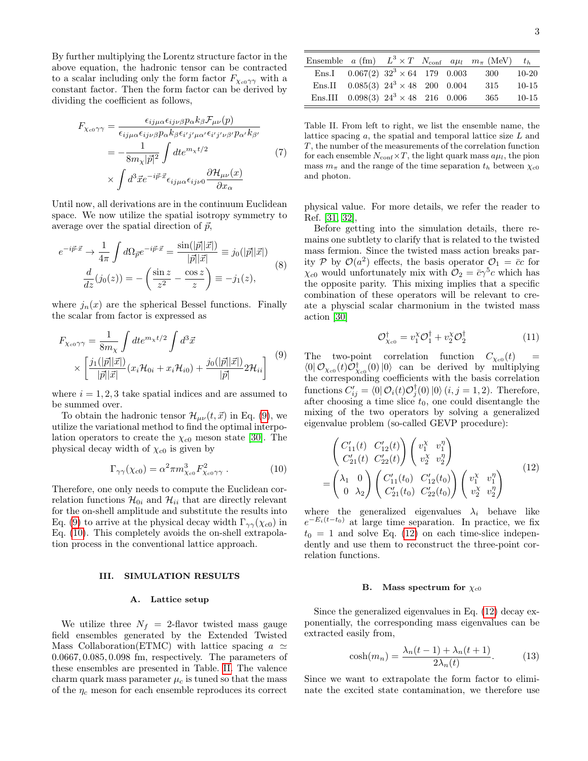By further multiplying the Lorentz structure factor in the above equation, the hadronic tensor can be contracted to a scalar including only the form factor  $F_{\chi_{c0}\gamma\gamma}$  with a constant factor. Then the form factor can be derived by dividing the coefficient as follows,

$$
F_{\chi_{c0}\gamma\gamma} = \frac{\epsilon_{ij\mu\alpha}\epsilon_{ij\nu\beta}p_{\alpha}k_{\beta}\mathcal{F}_{\mu\nu}(p)}{\epsilon_{ij\mu\alpha}\epsilon_{ij\nu\beta}p_{\alpha}k_{\beta}\epsilon_{i'j'\mu\alpha'}\epsilon_{i'j'\nu\beta'}p_{\alpha'}k_{\beta'}}
$$

$$
= -\frac{1}{8m_{\chi}|\vec{p}|^2} \int dt e^{m_{\chi}t/2} \tag{7}
$$

$$
\times \int d^3\vec{x}e^{-i\vec{p}\cdot\vec{x}}\epsilon_{ij\mu\alpha}\epsilon_{ij\nu 0} \frac{\partial \mathcal{H}_{\mu\nu}(x)}{\partial x_{\alpha}}
$$

Until now, all derivations are in the continuum Euclidean space. We now utilize the spatial isotropy symmetry to average over the spatial direction of  $\vec{p}$ ,

$$
e^{-i\vec{p}\cdot\vec{x}} \to \frac{1}{4\pi} \int d\Omega_{\vec{p}} e^{-i\vec{p}\cdot\vec{x}} = \frac{\sin(|\vec{p}||\vec{x}|)}{|\vec{p}||\vec{x}|} \equiv j_0(|\vec{p}||\vec{x}|)
$$

$$
\frac{d}{dz}(j_0(z)) = -\left(\frac{\sin z}{z^2} - \frac{\cos z}{z}\right) \equiv -j_1(z),\tag{8}
$$

where  $j_n(x)$  are the spherical Bessel functions. Finally the scalar from factor is expressed as

<span id="page-2-3"></span>
$$
F_{\chi_{c0}\gamma\gamma} = \frac{1}{8m_{\chi}} \int dt e^{m_{\chi}t/2} \int d^3 \vec{x}
$$
  
 
$$
\times \left[ \frac{j_1(|\vec{p}||\vec{x}|)}{|\vec{p}||\vec{x}|} (x_i \mathcal{H}_{0i} + x_i \mathcal{H}_{i0}) + \frac{j_0(|\vec{p}||\vec{x}|)}{|\vec{p}|} 2\mathcal{H}_{ii} \right] \tag{9}
$$

where  $i = 1, 2, 3$  take spatial indices and are assumed to be summed over.

To obtain the hadronic tensor  $\mathcal{H}_{\mu\nu}(t, \vec{x})$  in Eq. [\(9\)](#page-2-3), we utilize the variational method to find the optimal interpolation operators to create the  $\chi_{c0}$  meson state [\[30\]](#page-8-13). The physical decay width of  $\chi_{c0}$  is given by

<span id="page-2-4"></span>
$$
\Gamma_{\gamma\gamma}(\chi_{c0}) = \alpha^2 \pi m_{\chi_{c0}}^3 F_{\chi_{c0}\gamma\gamma}^2 . \tag{10}
$$

Therefore, one only needs to compute the Euclidean correlation functions  $\mathcal{H}_{0i}$  and  $\mathcal{H}_{ii}$  that are directly relevant for the on-shell amplitude and substitute the results into Eq. [\(9\)](#page-2-3) to arrive at the physical decay width  $\Gamma_{\gamma\gamma}(\chi_{c0})$  in Eq. [\(10\)](#page-2-4). This completely avoids the on-shell extrapolation process in the conventional lattice approach.

### <span id="page-2-0"></span>III. SIMULATION RESULTS

#### <span id="page-2-1"></span>A. Lattice setup

We utilize three  $N_f = 2$ -flavor twisted mass gauge field ensembles generated by the Extended Twisted Mass Collaboration(ETMC) with lattice spacing  $a \simeq$ 0.0667, 0.085, 0.098 fm, respectively. The parameters of these ensembles are presented in Table. [II.](#page-2-5) The valence charm quark mass parameter  $\mu_c$  is tuned so that the mass of the  $\eta_c$  meson for each ensemble reproduces its correct

|  |                                               |  | Ensemble a (fm) $L^3 \times T$ $N_{\text{conf}}$ $a\mu_l$ $m_{\pi}$ (MeV) $t_h$ |           |
|--|-----------------------------------------------|--|---------------------------------------------------------------------------------|-----------|
|  | Ens.I $0.067(2)$ $32^3 \times 64$ 179 0.003   |  | $\sim$ 300                                                                      | $10-20$   |
|  | Ens.II $0.085(3)$ $24^3 \times 48$ 200 0.004  |  | 315                                                                             | $10 - 15$ |
|  | Ens.III $0.098(3)$ $24^3 \times 48$ 216 0.006 |  | 365                                                                             | $10 - 15$ |

<span id="page-2-5"></span>Table II. From left to right, we list the ensemble name, the lattice spacing  $a$ , the spatial and temporal lattice size  $L$  and T, the number of the measurements of the correlation function for each ensemble  $N_{\text{conf}} \times T$ , the light quark mass  $a\mu_l$ , the pion mass  $m_{\pi}$  and the range of the time separation  $t_h$  between  $\chi_{c0}$ and photon.

physical value. For more details, we refer the reader to Ref. [\[31,](#page-8-14) [32\]](#page-8-15),

Before getting into the simulation details, there remains one subtlety to clarify that is related to the twisted mass fermion. Since the twisted mass action breaks parity P by  $\mathcal{O}(a^2)$  effects, the basis operator  $\mathcal{O}_1 = \overline{c}c$  for  $\chi_{c0}$  would unfortunately mix with  $\mathcal{O}_2 = \bar{c}\gamma^5 c$  which has the opposite parity. This mixing implies that a specific combination of these operators will be relevant to create a physcial scalar charmonium in the twisted mass action [\[30\]](#page-8-13)

$$
\mathcal{O}_{\chi_{c0}}^{\dagger} = v_1^{\chi} \mathcal{O}_1^{\dagger} + v_2^{\chi} \mathcal{O}_2^{\dagger} \tag{11}
$$

The two-point correlation function  $C_{\chi_{c0}}(t)$  =  $\langle 0 | \mathcal{O}_{\chi_{c0}}(t) \mathcal{O}_{\chi_{c0}}^{\dagger}(0) | 0 \rangle$  can be derived by multiplying the corresponding coefficients with the basis correlation functions  $C'_{ij} = \langle 0 | \mathcal{O}_i(t) \mathcal{O}_j^{\dagger}(0) | 0 \rangle$   $(i, j = 1, 2)$ . Therefore, after choosing a time slice  $t_0$ , one could disentangle the mixing of the two operators by solving a generalized eigenvalue problem (so-called GEVP procedure):

<span id="page-2-6"></span>
$$
\begin{pmatrix}\nC'_{11}(t) & C'_{12}(t) \\
C'_{21}(t) & C'_{22}(t)\n\end{pmatrix}\n\begin{pmatrix}\nv_1^{\chi} & v_1^{\eta} \\
v_2^{\chi} & v_2^{\eta}\n\end{pmatrix}\n=\n\begin{pmatrix}\n\lambda_1 & 0 \\
0 & \lambda_2\n\end{pmatrix}\n\begin{pmatrix}\nC'_{11}(t_0) & C'_{12}(t_0) \\
C'_{21}(t_0) & C'_{22}(t_0)\n\end{pmatrix}\n\begin{pmatrix}\nv_1^{\chi} & v_1^{\eta} \\
v_2^{\chi} & v_2^{\eta}\n\end{pmatrix}
$$
\n(12)

where the generalized eigenvalues  $\lambda_i$  behave like  $e^{-E_i(t-t_0)}$  at large time separation. In practice, we fix  $t_0 = 1$  and solve Eq. [\(12\)](#page-2-6) on each time-slice independently and use them to reconstruct the three-point correlation functions.

#### <span id="page-2-2"></span>B. Mass spectrum for  $\chi_{c0}$

Since the generalized eigenvalues in Eq. [\(12\)](#page-2-6) decay exponentially, the corresponding mass eigenvalues can be extracted easily from,

$$
\cosh(m_n) = \frac{\lambda_n(t-1) + \lambda_n(t+1)}{2\lambda_n(t)}.\tag{13}
$$

Since we want to extrapolate the form factor to eliminate the excited state contamination, we therefore use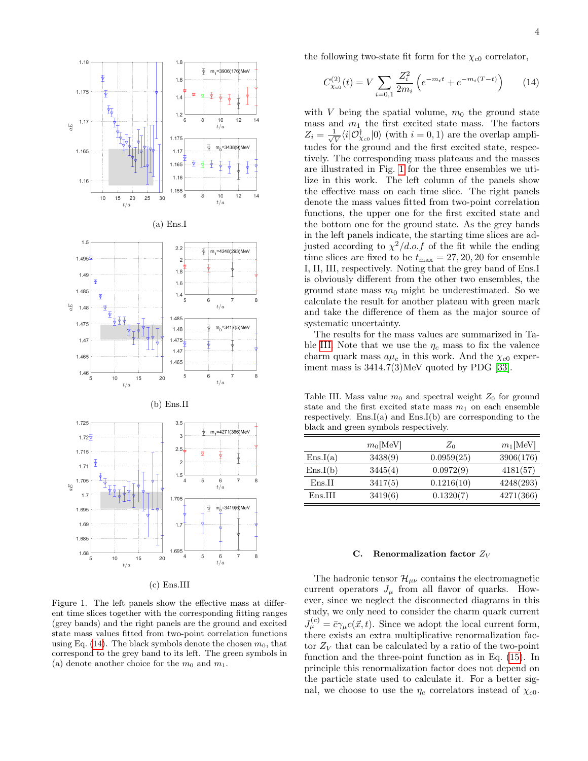

(c) Ens.III

<span id="page-3-2"></span>Figure 1. The left panels show the effective mass at different time slices together with the corresponding fitting ranges (grey bands) and the right panels are the ground and excited state mass values fitted from two-point correlation functions using Eq. [\(14\)](#page-3-1). The black symbols denote the chosen  $m_0$ , that correspond to the grey band to its left. The green symbols in (a) denote another choice for the  $m_0$  and  $m_1$ .

the following two-state fit form for the  $\chi_{c0}$  correlator,

<span id="page-3-1"></span>
$$
C_{\chi_{c0}}^{(2)}(t) = V \sum_{i=0,1} \frac{Z_i^2}{2m_i} \left( e^{-m_i t} + e^{-m_i (T - t)} \right)
$$
 (14)

with V being the spatial volume,  $m_0$  the ground state mass and  $m_1$  the first excited state mass. The factors  $Z_i = \frac{1}{\sqrt{2}}$  $\frac{1}{V}\langle i|\mathcal{O}^{\dagger}_{\chi_{c0}}|0\rangle$  (with  $i=0,1$ ) are the overlap amplitudes for the ground and the first excited state, respectively. The corresponding mass plateaus and the masses are illustrated in Fig. [1](#page-3-2) for the three ensembles we utilize in this work. The left column of the panels show the effective mass on each time slice. The right panels denote the mass values fitted from two-point correlation functions, the upper one for the first excited state and the bottom one for the ground state. As the grey bands in the left panels indicate, the starting time slices are adjusted according to  $\chi^2/d.o.f$  of the fit while the ending time slices are fixed to be  $t_{\text{max}} = 27, 20, 20$  for ensemble I, II, III, respectively. Noting that the grey band of Ens.I is obviously different from the other two ensembles, the ground state mass  $m_0$  might be underestimated. So we calculate the result for another plateau with green mark and take the difference of them as the major source of systematic uncertainty.

The results for the mass values are summarized in Ta-ble [III.](#page-3-3) Note that we use the  $\eta_c$  mass to fix the valence charm quark mass  $a\mu_c$  in this work. And the  $\chi_{c0}$  experiment mass is 3414.7(3)MeV quoted by PDG [\[33\]](#page-8-16).

<span id="page-3-3"></span>Table III. Mass value  $m_0$  and spectral weight  $Z_0$  for ground state and the first excited state mass  $m_1$  on each ensemble respectively. Ens.I(a) and Ens.I(b) are corresponding to the black and green symbols respectively.

|          | $m_0$ [MeV] | $Z_0$      | $m_1[\text{MeV}]$ |
|----------|-------------|------------|-------------------|
| Ens.I(a) | 3438(9)     | 0.0959(25) | 3906(176)         |
| Ens.I(b) | 3445(4)     | 0.0972(9)  | 4181(57)          |
| Ens.II   | 3417(5)     | 0.1216(10) | 4248(293)         |
| Ens.III  | 3419(6)     | 0.1320(7)  | 4271(366)         |

#### <span id="page-3-0"></span>C. Renormalization factor  $Z_V$

The hadronic tensor  $\mathcal{H}_{\mu\nu}$  contains the electromagnetic current operators  $J_{\mu}$  from all flavor of quarks. However, since we neglect the disconnected diagrams in this study, we only need to consider the charm quark current  $J_{\mu}^{(c)} = \bar{c}\gamma_{\mu}c(\vec{x},t)$ . Since we adopt the local current form, there exists an extra multiplicative renormalization factor  $Z_V$  that can be calculated by a ratio of the two-point function and the three-point function as in Eq. [\(15\)](#page-5-1). In principle this renormalization factor does not depend on the particle state used to calculate it. For a better signal, we choose to use the  $\eta_c$  correlators instead of  $\chi_{c0}$ .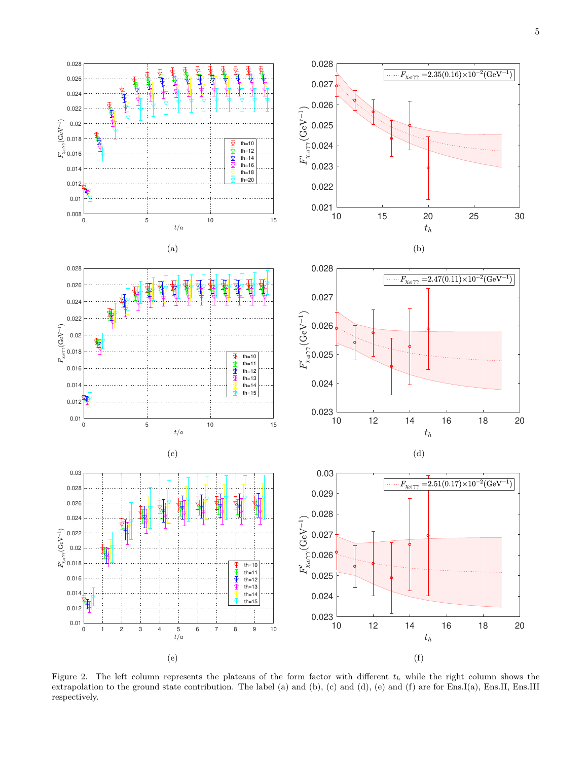

<span id="page-4-0"></span>Figure 2. The left column represents the plateaus of the form factor with different  $t<sub>h</sub>$  while the right column shows the extrapolation to the ground state contribution. The label (a) and (b), (c) and (d), (e) and (f) are for Ens.I(a), Ens.II, Ens.III respectively.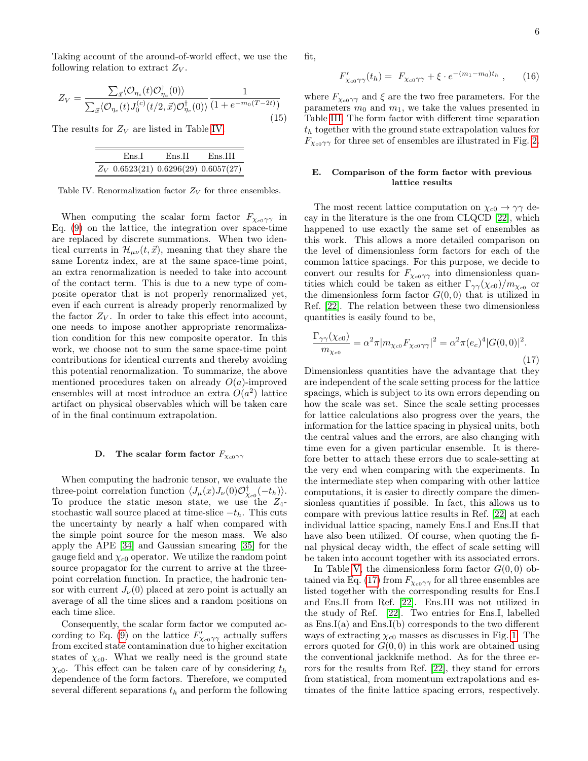Taking account of the around-of-world effect, we use the following relation to extract  $Z_V$ .

<span id="page-5-1"></span>
$$
Z_V = \frac{\sum_{\vec{x}} \langle \mathcal{O}_{\eta_c}(t) \mathcal{O}_{\eta_c}^{\dagger}(0) \rangle}{\sum_{\vec{x}} \langle \mathcal{O}_{\eta_c}(t) J_0^{(c)}(t/2, \vec{x}) \mathcal{O}_{\eta_c}^{\dagger}(0) \rangle} \frac{1}{(1 + e^{-m_0(T - 2t)})}
$$
(15)

The results for  $Z_V$  are listed in Table [IV.](#page-5-2)

| Ens I                                  | Ens H | Ens III |
|----------------------------------------|-------|---------|
| $Z_V$ 0.6523(21) 0.6296(29) 0.6057(27) |       |         |

<span id="page-5-2"></span>Table IV. Renormalization factor  $\mathbb{Z}_V$  for three ensembles.

When computing the scalar form factor  $F_{\chi_{c0}\gamma\gamma}$  in Eq. [\(9\)](#page-2-3) on the lattice, the integration over space-time are replaced by discrete summations. When two identical currents in  $\mathcal{H}_{\mu\nu}(t,\vec{x})$ , meaning that they share the same Lorentz index, are at the same space-time point, an extra renormalization is needed to take into account of the contact term. This is due to a new type of composite operator that is not properly renormalized yet, even if each current is already properly renormalized by the factor  $Z_V$ . In order to take this effect into account, one needs to impose another appropriate renormalization condition for this new composite operator. In this work, we choose not to sum the same space-time point contributions for identical currents and thereby avoiding this potential renormalization. To summarize, the above mentioned procedures taken on already  $O(a)$ -improved ensembles will at most introduce an extra  $O(a^2)$  lattice artifact on physical observables which will be taken care of in the final continuum extrapolation.

## <span id="page-5-0"></span>D. The scalar form factor  $F_{\chi_{c0}\gamma\gamma}$

When computing the hadronic tensor, we evaluate the three-point correlation function  $\langle J_\mu(x) J_\nu(0) \mathcal{O}^\dagger_{\chi_{c0}}(-t_h) \rangle$ . To produce the static meson state, we use the  $Z_4$ stochastic wall source placed at time-slice  $-t_h$ . This cuts the uncertainty by nearly a half when compared with the simple point source for the meson mass. We also apply the APE [\[34\]](#page-8-17) and Gaussian smearing [\[35\]](#page-8-18) for the gauge field and  $\chi_{c0}$  operator. We utilize the random point source propagator for the current to arrive at the threepoint correlation function. In practice, the hadronic tensor with current  $J_{\nu}(0)$  placed at zero point is actually an average of all the time slices and a random positions on each time slice.

Consequently, the scalar form factor we computed ac-cording to Eq. [\(9\)](#page-2-3) on the lattice  $F'_{\chi_{c0}\gamma\gamma}$  actually suffers from excited state contamination due to higher excitation states of  $\chi_{c0}$ . What we really need is the ground state  $\chi_{c0}$ . This effect can be taken care of by considering  $t_h$ dependence of the form factors. Therefore, we computed several different separations  $t<sub>h</sub>$  and perform the following fit,

$$
F'_{\chi_{c0}\gamma\gamma}(t_h) = F_{\chi_{c0}\gamma\gamma} + \xi \cdot e^{-(m_1 - m_0)t_h}, \qquad (16)
$$

where  $F_{\chi_{c0}\gamma\gamma}$  and  $\xi$  are the two free parameters. For the parameters  $m_0$  and  $m_1$ , we take the values presented in Table [III.](#page-3-3) The form factor with different time separation  $t<sub>h</sub>$  together with the ground state extrapolation values for  $F_{\chi_{c0}\gamma\gamma}$  for three set of ensembles are illustrated in Fig. [2.](#page-4-0)

## E. Comparison of the form factor with previous lattice results

The most recent lattice computation on  $\chi_{c0} \to \gamma \gamma$  decay in the literature is the one from CLQCD [\[22\]](#page-8-4), which happened to use exactly the same set of ensembles as this work. This allows a more detailed comparison on the level of dimensionless form factors for each of the common lattice spacings. For this purpose, we decide to convert our results for  $F_{\chi_{c0}\gamma\gamma}$  into dimensionless quantities which could be taken as either  $\Gamma_{\gamma\gamma}(\chi_{c0})/m_{\chi_{c0}}$  or the dimensionless form factor  $G(0,0)$  that is utilized in Ref. [\[22\]](#page-8-4). The relation between these two dimensionless quantities is easily found to be,

<span id="page-5-3"></span>
$$
\frac{\Gamma_{\gamma\gamma}(\chi_{c0})}{m_{\chi_{c0}}} = \alpha^2 \pi |m_{\chi_{c0}} F_{\chi_{c0}\gamma\gamma}|^2 = \alpha^2 \pi (e_c)^4 |G(0,0)|^2.
$$
\n(17)

Dimensionless quantities have the advantage that they are independent of the scale setting process for the lattice spacings, which is subject to its own errors depending on how the scale was set. Since the scale setting processes for lattice calculations also progress over the years, the information for the lattice spacing in physical units, both the central values and the errors, are also changing with time even for a given particular ensemble. It is therefore better to attach these errors due to scale-setting at the very end when comparing with the experiments. In the intermediate step when comparing with other lattice computations, it is easier to directly compare the dimensionless quantities if possible. In fact, this allows us to compare with previous lattice results in Ref. [\[22\]](#page-8-4) at each individual lattice spacing, namely Ens.I and Ens.II that have also been utilized. Of course, when quoting the final physical decay width, the effect of scale setting will be taken into account together with its associated errors.

In Table [V,](#page-6-1) the dimensionless form factor  $G(0,0)$  ob-tained via Eq. [\(17\)](#page-5-3) from  $F_{\chi_{c0}\gamma\gamma}$  for all three ensembles are listed together with the corresponding results for Ens.I and Ens.II from Ref. [\[22\]](#page-8-4). Ens.III was not utilized in the study of Ref. [\[22\]](#page-8-4). Two entries for Ens.I, labelled as  $Ens.I(a)$  and  $Ens.I(b)$  corresponds to the two different ways of extracting  $\chi_{c0}$  masses as discusses in Fig. [1.](#page-3-2) The errors quoted for  $G(0,0)$  in this work are obtained using the conventional jackknife method. As for the three errors for the results from Ref. [\[22\]](#page-8-4), they stand for errors from statistical, from momentum extrapolations and estimates of the finite lattice spacing errors, respectively.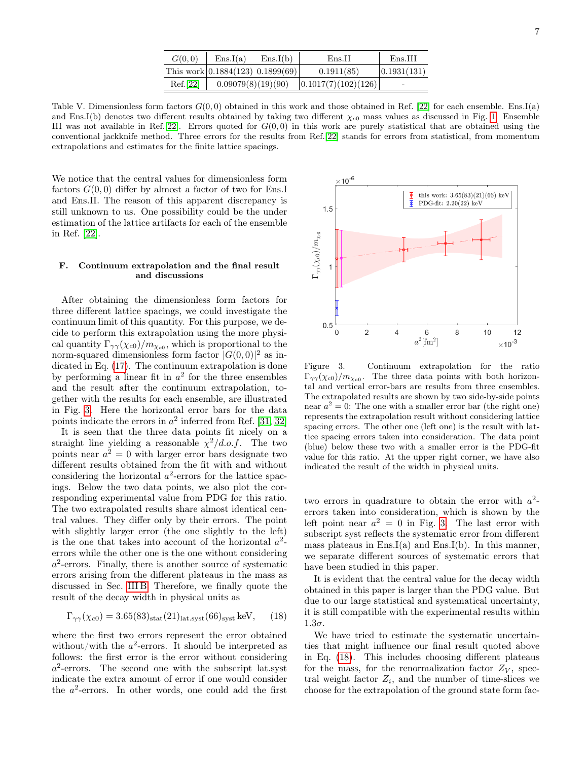|  |   |        | S |
|--|---|--------|---|
|  |   | I<br>٦ |   |
|  |   |        |   |
|  |   |        |   |
|  | I |        |   |

| G(0,0)   | Ens.I(a)                             | Ens.I(b) | Ens.H                 | Ens.III                  |
|----------|--------------------------------------|----------|-----------------------|--------------------------|
|          | This work $ 0.1884(123) 0.1899(69) $ |          | 0.1911(85)            | (0.1931(131))            |
| Ref.[22] | 0.09079(8)(19)(90)                   |          | (0.1017(7)(102)(126)) | $\overline{\phantom{0}}$ |

<span id="page-6-1"></span>Table V. Dimensionless form factors  $G(0,0)$  obtained in this work and those obtained in Ref. [\[22\]](#page-8-4) for each ensemble. Ens.I(a) and Ens.I(b) denotes two different results obtained by taking two different  $\chi_{c0}$  mass values as discussed in Fig. [1.](#page-3-2) Ensemble III was not available in Ref.[\[22\]](#page-8-4). Errors quoted for  $G(0,0)$  in this work are purely statistical that are obtained using the conventional jackknife method. Three errors for the results from Ref.[\[22\]](#page-8-4) stands for errors from statistical, from momentum extrapolations and estimates for the finite lattice spacings.

 $\times 10^{-6}$ 

We notice that the central values for dimensionless form factors  $G(0,0)$  differ by almost a factor of two for Ens. and Ens.II. The reason of this apparent discrepancy is still unknown to us. One possibility could be the under estimation of the lattice artifacts for each of the ensemble in Ref. [\[22\]](#page-8-4).

## <span id="page-6-0"></span>F. Continuum extrapolation and the final result and discussions

After obtaining the dimensionless form factors for three different lattice spacings, we could investigate the continuum limit of this quantity. For this purpose, we decide to perform this extrapolation using the more physical quantity  $\Gamma_{\gamma\gamma}(\chi_{c0})/m_{\chi_{c0}}$ , which is proportional to the norm-squared dimensionless form factor  $|G(0,0)|^2$  as indicated in Eq. [\(17\)](#page-5-3). The continuum extrapolation is done by performing a linear fit in  $a^2$  for the three ensembles and the result after the continuum extrapolation, together with the results for each ensemble, are illustrated in Fig. [3.](#page-6-2) Here the horizontal error bars for the data points indicate the errors in  $a^2$  inferred from Ref. [\[31,](#page-8-14) [32\]](#page-8-15)

It is seen that the three data points fit nicely on a straight line yielding a reasonable  $\chi^2/d.o.f.$  The two points near  $a^2 = 0$  with larger error bars designate two different results obtained from the fit with and without considering the horizontal  $a^2$ -errors for the lattice spacings. Below the two data points, we also plot the corresponding experimental value from PDG for this ratio. The two extrapolated results share almost identical central values. They differ only by their errors. The point with slightly larger error (the one slightly to the left) is the one that takes into account of the horizontal  $a^2$ errors while the other one is the one without considering a 2 -errors. Finally, there is another source of systematic errors arising from the different plateaus in the mass as discussed in Sec. [III B.](#page-2-2) Therefore, we finally quote the result of the decay width in physical units as

<span id="page-6-3"></span>
$$
\Gamma_{\gamma\gamma}(\chi_{c0}) = 3.65(83)_{\text{stat}}(21)_{\text{lat.syst}}(66)_{\text{syst}} \text{ keV}, \qquad (18)
$$

where the first two errors represent the error obtained without/with the  $a^2$ -errors. It should be interpreted as follows: the first error is the error without considering  $a^2$ -errors. The second one with the subscript lat.syst indicate the extra amount of error if one would consider the  $a^2$ -errors. In other words, one could add the first

PDG-fit:  $2.20(22)$  keV  $1.5$  $\Gamma_{\gamma\gamma}(\chi_{c0})/m_{\chi_{c0}}$  $0.5$  $\overline{2}$  $10$  $\overline{0}$  $\overline{4}$  $\,$  6  $\,$ 8 12  $a^2$ [fm<sup>2</sup>]  $\times 10^{-3}$ Figure 3. Continuum extrapolation for the ratio

this work:  $3.65(83)(21)(66)$  keV

<span id="page-6-2"></span> $\Gamma_{\gamma\gamma}(\chi_{c0})/m_{\chi_{c0}}$ . The three data points with both horizontal and vertical error-bars are results from three ensembles. The extrapolated results are shown by two side-by-side points near  $a^2 = 0$ : The one with a smaller error bar (the right one) represents the extrapolation result without considering lattice spacing errors. The other one (left one) is the result with lattice spacing errors taken into consideration. The data point (blue) below these two with a smaller error is the PDG-fit value for this ratio. At the upper right corner, we have also indicated the result of the width in physical units.

two errors in quadrature to obtain the error with  $a^2$ errors taken into consideration, which is shown by the left point near  $a^2 = 0$  in Fig. [3.](#page-6-2) The last error with subscript syst reflects the systematic error from different mass plateaus in  $Ens.I(a)$  and  $Ens.I(b)$ . In this manner, we separate different sources of systematic errors that have been studied in this paper.

It is evident that the central value for the decay width obtained in this paper is larger than the PDG value. But due to our large statistical and systematical uncertainty, it is still compatible with the experimental results within  $1.3\sigma$ .

We have tried to estimate the systematic uncertainties that might influence our final result quoted above in Eq. [\(18\)](#page-6-3). This includes choosing different plateaus for the mass, for the renormalization factor  $Z_V$ , spectral weight factor  $Z_i$ , and the number of time-slices we choose for the extrapolation of the ground state form fac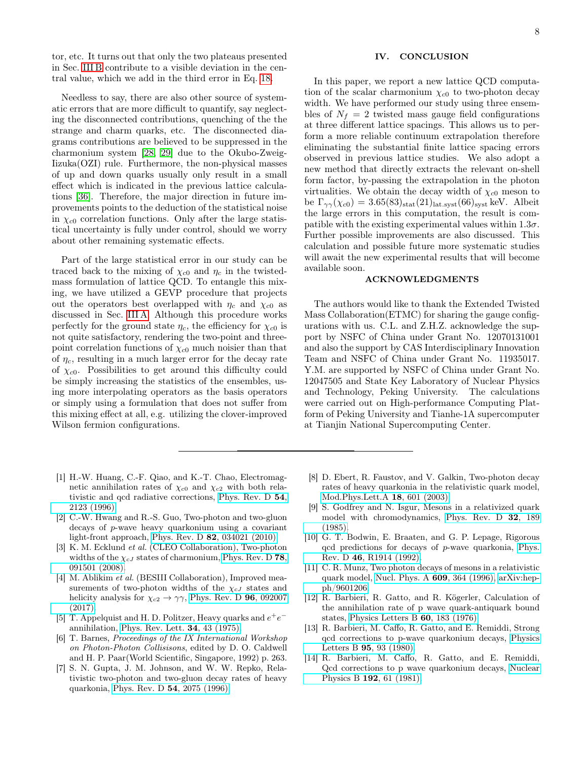tor, etc. It turns out that only the two plateaus presented in Sec. [III B](#page-2-2) contribute to a visible deviation in the central value, which we add in the third error in Eq. [18.](#page-6-3)

Needless to say, there are also other source of systematic errors that are more difficult to quantify, say neglecting the disconnected contributions, quenching of the the strange and charm quarks, etc. The disconnected diagrams contributions are believed to be suppressed in the charmonium system [\[28,](#page-8-11) [29\]](#page-8-12) due to the Okubo-Zweig-Iizuka(OZI) rule. Furthermore, the non-physical masses of up and down quarks usually only result in a small effect which is indicated in the previous lattice calculations [\[36\]](#page-8-19). Therefore, the major direction in future improvements points to the deduction of the statistical noise in  $\chi_{c0}$  correlation functions. Only after the large statistical uncertainty is fully under control, should we worry about other remaining systematic effects.

Part of the large statistical error in our study can be traced back to the mixing of  $\chi_{c0}$  and  $\eta_c$  in the twistedmass formulation of lattice QCD. To entangle this mixing, we have utilized a GEVP procedure that projects out the operators best overlapped with  $\eta_c$  and  $\chi_{c0}$  as discussed in Sec. [III A.](#page-2-1) Although this procedure works perfectly for the ground state  $\eta_c$ , the efficiency for  $\chi_{c0}$  is not quite satisfactory, rendering the two-point and threepoint correlation functions of  $\chi_{c0}$  much noisier than that of  $\eta_c$ , resulting in a much larger error for the decay rate of  $\chi_{c0}$ . Possibilities to get around this difficulty could be simply increasing the statistics of the ensembles, using more interpolating operators as the basis operators or simply using a formulation that does not suffer from this mixing effect at all, e.g. utilizing the clover-improved Wilson fermion configurations.

## IV. CONCLUSION

In this paper, we report a new lattice QCD computation of the scalar charmonium  $\chi_{c0}$  to two-photon decay width. We have performed our study using three ensembles of  $N_f = 2$  twisted mass gauge field configurations at three different lattice spacings. This allows us to perform a more reliable continuum extrapolation therefore eliminating the substantial finite lattice spacing errors observed in previous lattice studies. We also adopt a new method that directly extracts the relevant on-shell form factor, by-passing the extrapolation in the photon virtualities. We obtain the decay width of  $\chi_{c0}$  meson to be  $\Gamma_{\gamma\gamma}(\chi_{c0}) = 3.65(83)_{\text{stat}}(21)_{\text{lat.syst}}(66)_{\text{syst}}$  keV. Albeit the large errors in this computation, the result is compatible with the existing experimental values within  $1.3\sigma$ . Further possible improvements are also discussed. This calculation and possible future more systematic studies will await the new experimental results that will become available soon.

## ACKNOWLEDGMENTS

The authors would like to thank the Extended Twisted Mass Collaboration(ETMC) for sharing the gauge configurations with us. C.L. and Z.H.Z. acknowledge the support by NSFC of China under Grant No. 12070131001 and also the support by CAS Interdisciplinary Innovation Team and NSFC of China under Grant No. 11935017. Y.M. are supported by NSFC of China under Grant No. 12047505 and State Key Laboratory of Nuclear Physics and Technology, Peking University. The calculations were carried out on High-performance Computing Platform of Peking University and Tianhe-1A supercomputer at Tianjin National Supercomputing Center.

- <span id="page-7-0"></span>[1] H.-W. Huang, C.-F. Qiao, and K.-T. Chao, Electromagnetic annihilation rates of  $\chi_{c0}$  and  $\chi_{c2}$  with both relativistic and qcd radiative corrections, [Phys. Rev. D](https://doi.org/10.1103/PhysRevD.54.2123) 54, [2123 \(1996\).](https://doi.org/10.1103/PhysRevD.54.2123)
- <span id="page-7-1"></span>[2] C.-W. Hwang and R.-S. Guo, Two-photon and two-gluon decays of p-wave heavy quarkonium using a covariant light-front approach, Phys. Rev. D 82[, 034021 \(2010\).](https://doi.org/10.1103/PhysRevD.82.034021)
- <span id="page-7-2"></span>[3] K. M. Ecklund *et al.* (CLEO Collaboration), Two-photon widths of the  $\chi_{cJ}$  states of charmonium, [Phys. Rev. D](https://doi.org/10.1103/PhysRevD.78.091501) 78, [091501 \(2008\).](https://doi.org/10.1103/PhysRevD.78.091501)
- <span id="page-7-3"></span>[4] M. Ablikim *et al.* (BESIII Collaboration), Improved measurements of two-photon widths of the  $\chi_{cJ}$  states and helicity analysis for  $\chi_{c2} \to \gamma \gamma$ , [Phys. Rev. D](https://doi.org/10.1103/PhysRevD.96.092007) **96**, 092007 [\(2017\).](https://doi.org/10.1103/PhysRevD.96.092007)
- <span id="page-7-4"></span>[5] T. Appelquist and H. D. Politzer, Heavy quarks and  $e^+e^$ annihilation, [Phys. Rev. Lett.](https://doi.org/10.1103/PhysRevLett.34.43) 34, 43 (1975).
- <span id="page-7-5"></span>[6] T. Barnes, Proceedings of the IX International Workshop on Photon-Photon Collisisons, edited by D. O. Caldwell and H. P. Paar(World Scientific, Singapore, 1992) p. 263.
- <span id="page-7-6"></span>[7] S. N. Gupta, J. M. Johnson, and W. W. Repko, Relativistic two-photon and two-gluon decay rates of heavy quarkonia, [Phys. Rev. D](https://doi.org/10.1103/PhysRevD.54.2075) 54, 2075 (1996).
- <span id="page-7-7"></span>[8] D. Ebert, R. Faustov, and V. Galkin, Two-photon decay rates of heavy quarkonia in the relativistic quark model, [Mod.Phys.Lett.A](https://doi.org/10.1142/S021773230300971X) 18, 601 (2003).
- <span id="page-7-10"></span>[9] S. Godfrey and N. Isgur, Mesons in a relativized quark model with chromodynamics, [Phys. Rev. D](https://doi.org/10.1103/PhysRevD.32.189) 32, 189 [\(1985\).](https://doi.org/10.1103/PhysRevD.32.189)
- <span id="page-7-11"></span>[10] G. T. Bodwin, E. Braaten, and G. P. Lepage, Rigorous qcd predictions for decays of p-wave quarkonia, [Phys.](https://doi.org/10.1103/PhysRevD.46.R1914) Rev. D 46[, R1914 \(1992\).](https://doi.org/10.1103/PhysRevD.46.R1914)
- <span id="page-7-8"></span>[11] C. R. Munz, Two photon decays of mesons in a relativistic quark model, [Nucl. Phys. A](https://doi.org/10.1016/S0375-9474(96)00265-5) 609, 364 (1996), [arXiv:hep](https://arxiv.org/abs/hep-ph/9601206)[ph/9601206.](https://arxiv.org/abs/hep-ph/9601206)
- <span id="page-7-9"></span>[12] R. Barbieri, R. Gatto, and R. Kögerler, Calculation of the annihilation rate of p wave quark-antiquark bound states, [Physics Letters B](https://doi.org/https://doi.org/10.1016/0370-2693(76)90419-6) 60, 183 (1976).
- [13] R. Barbieri, M. Caffo, R. Gatto, and E. Remiddi, Strong qcd corrections to p-wave quarkonium decays, [Physics](https://doi.org/https://doi.org/10.1016/0370-2693(80)90407-4) Letters B 95[, 93 \(1980\).](https://doi.org/https://doi.org/10.1016/0370-2693(80)90407-4)
- [14] R. Barbieri, M. Caffo, R. Gatto, and E. Remiddi, Qcd corrections to p wave quarkonium decays, [Nuclear](https://doi.org/https://doi.org/10.1016/0550-3213(81)90192-9) Physics B 192[, 61 \(1981\).](https://doi.org/https://doi.org/10.1016/0550-3213(81)90192-9)